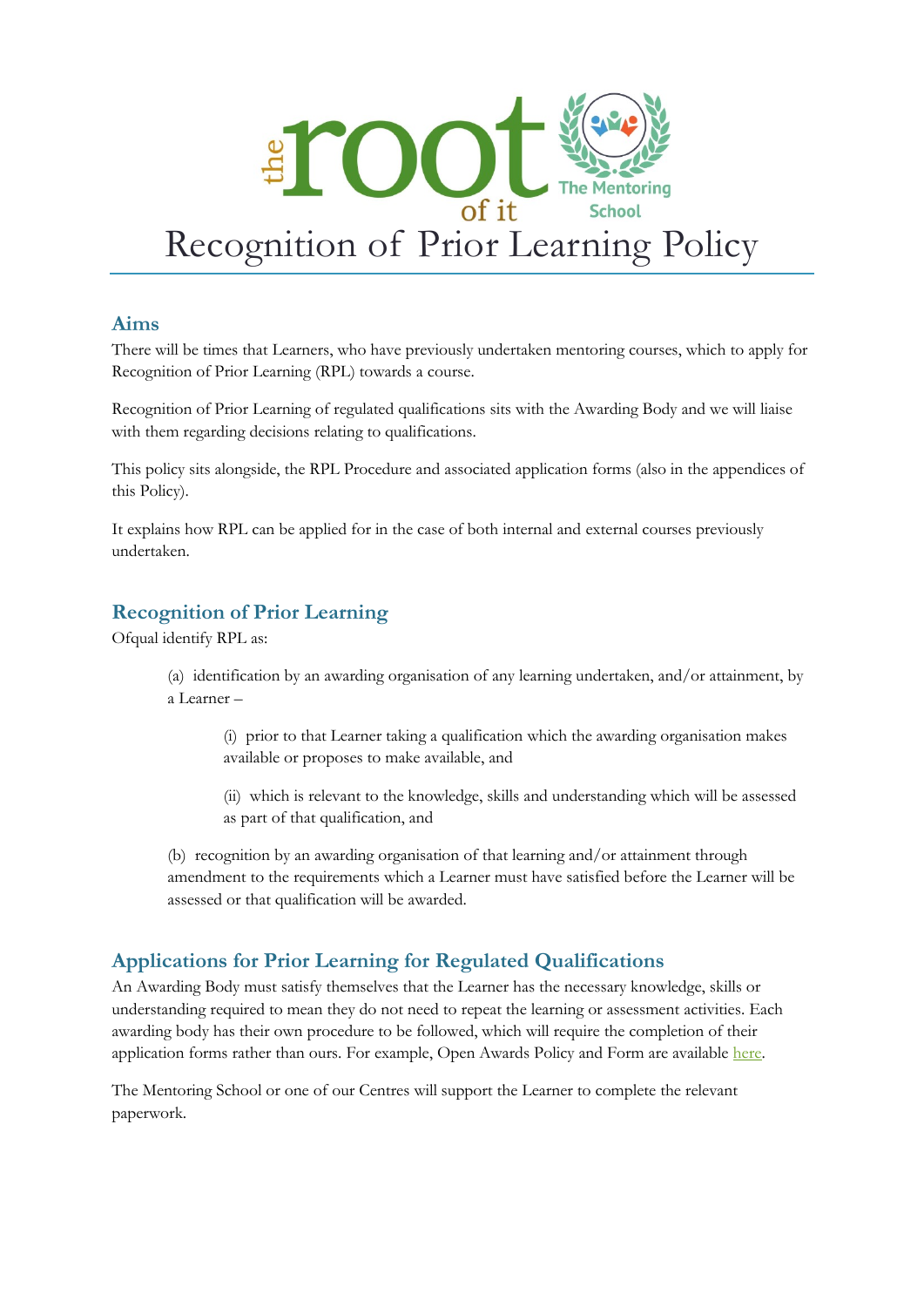

#### **Aims**

There will be times that Learners, who have previously undertaken mentoring courses, which to apply for Recognition of Prior Learning (RPL) towards a course.

Recognition of Prior Learning of regulated qualifications sits with the Awarding Body and we will liaise with them regarding decisions relating to qualifications.

This policy sits alongside, the RPL Procedure and associated application forms (also in the appendices of this Policy).

It explains how RPL can be applied for in the case of both internal and external courses previously undertaken.

## **Recognition of Prior Learning**

Ofqual identify RPL as:

(a) identification by an awarding organisation of any learning undertaken, and/or attainment, by a Learner –

(i) prior to that Learner taking a qualification which the awarding organisation makes available or proposes to make available, and

(ii) which is relevant to the knowledge, skills and understanding which will be assessed as part of that qualification, and

(b) recognition by an awarding organisation of that learning and/or attainment through amendment to the requirements which a Learner must have satisfied before the Learner will be assessed or that qualification will be awarded.

### **Applications for Prior Learning for Regulated Qualifications**

An Awarding Body must satisfy themselves that the Learner has the necessary knowledge, skills or understanding required to mean they do not need to repeat the learning or assessment activities. Each awarding body has their own procedure to be followed, which will require the completion of their application forms rather than ours. For example, Open Awards Policy and Form are available [here.](https://openawards.org.uk/media/1916/recognition-of-prior-learning-policy-and-procedures-december-2018.pdf)

The Mentoring School or one of our Centres will support the Learner to complete the relevant paperwork.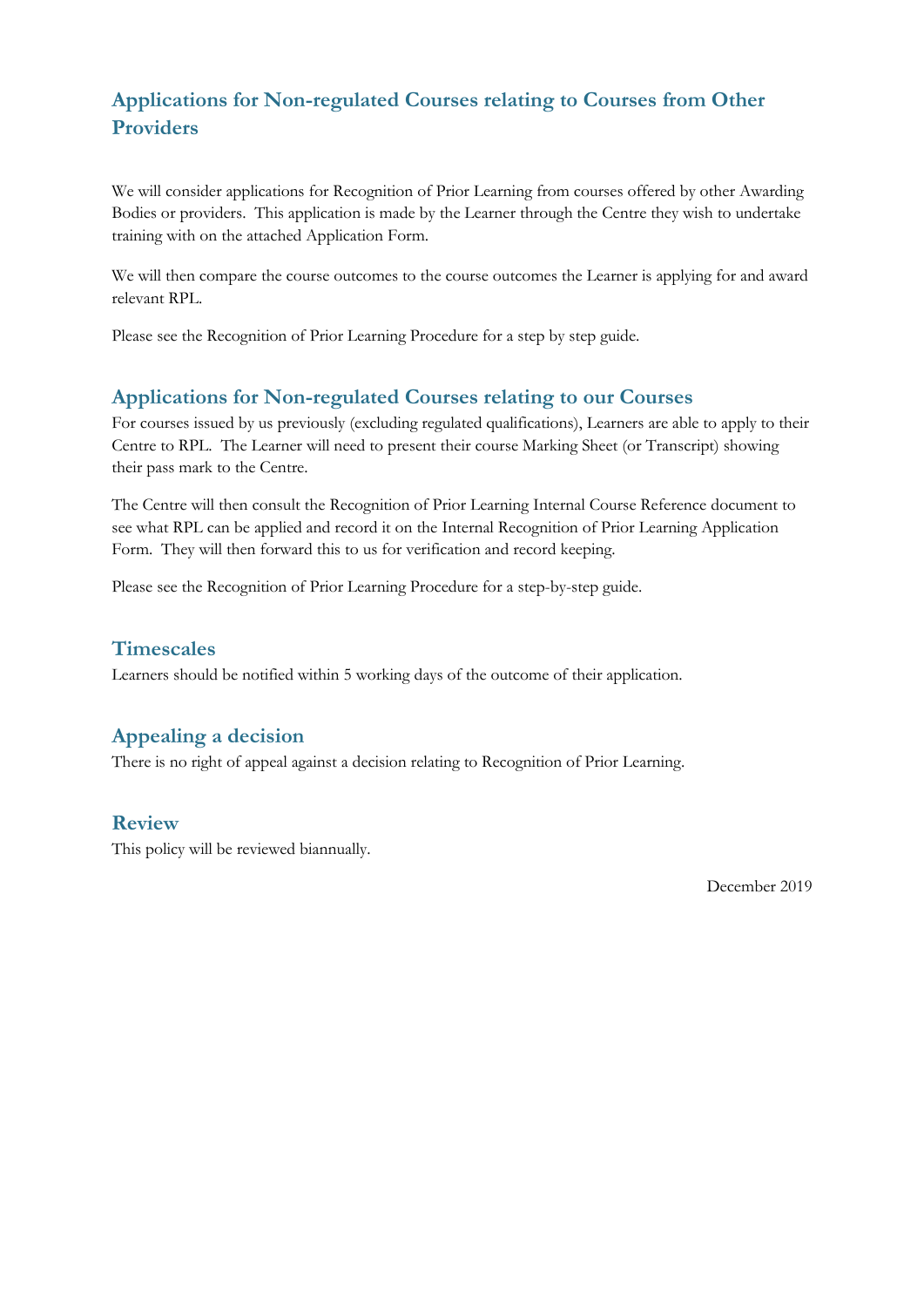# **Applications for Non-regulated Courses relating to Courses from Other Providers**

We will consider applications for Recognition of Prior Learning from courses offered by other Awarding Bodies or providers. This application is made by the Learner through the Centre they wish to undertake training with on the attached Application Form.

We will then compare the course outcomes to the course outcomes the Learner is applying for and award relevant RPL.

Please see the Recognition of Prior Learning Procedure for a step by step guide.

#### **Applications for Non-regulated Courses relating to our Courses**

For courses issued by us previously (excluding regulated qualifications), Learners are able to apply to their Centre to RPL. The Learner will need to present their course Marking Sheet (or Transcript) showing their pass mark to the Centre.

The Centre will then consult the Recognition of Prior Learning Internal Course Reference document to see what RPL can be applied and record it on the Internal Recognition of Prior Learning Application Form. They will then forward this to us for verification and record keeping.

Please see the Recognition of Prior Learning Procedure for a step-by-step guide.

#### **Timescales**

Learners should be notified within 5 working days of the outcome of their application.

#### **Appealing a decision**

There is no right of appeal against a decision relating to Recognition of Prior Learning.

#### **Review**

This policy will be reviewed biannually.

December 2019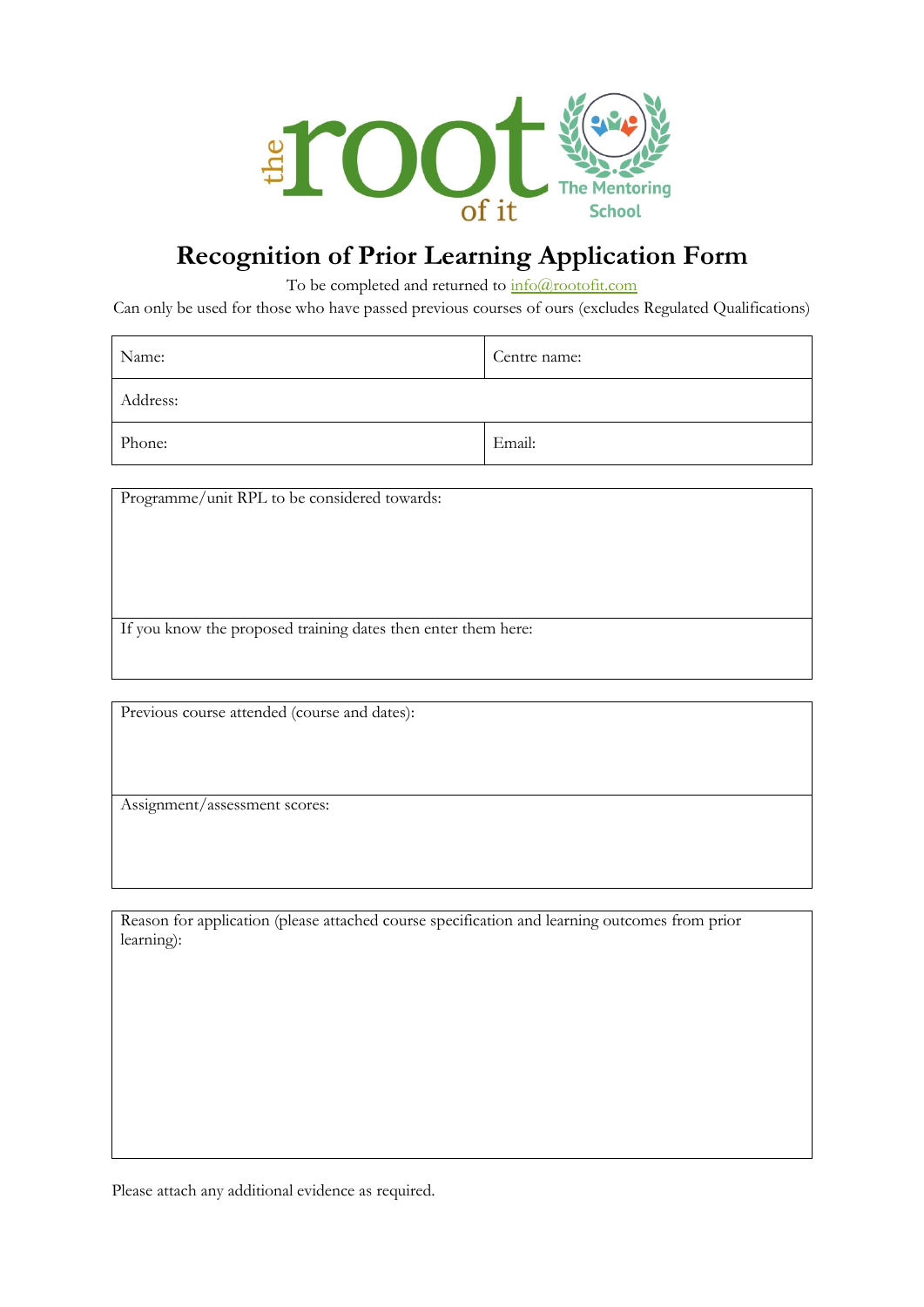

# **Recognition of Prior Learning Application Form**

To be completed and returned to  $\frac{info(@rootofit.com)}{info(@rootofit.com)}$ 

Can only be used for those who have passed previous courses of ours (excludes Regulated Qualifications)

| Name:    | Centre name: |
|----------|--------------|
| Address: |              |
| Phone:   | Email:       |

Programme/unit RPL to be considered towards:

If you know the proposed training dates then enter them here:

Previous course attended (course and dates):

Assignment/assessment scores:

Reason for application (please attached course specification and learning outcomes from prior learning):

Please attach any additional evidence as required.